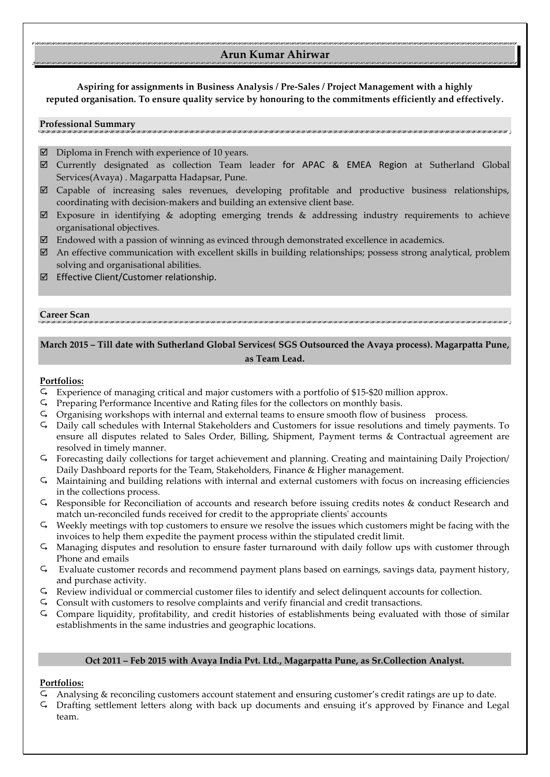# **Arun Kumar Ahirwar**

**Aspiring for assignments in Business Analysis / Pre-Sales / Project Management with a highly reputed organisation. To ensure quality service by honouring to the commitments efficiently and effectively.**

#### **Professional Summary**

- $\boxtimes$  Diploma in French with experience of 10 years.
- Currently designated as collection Team leader for APAC & EMEA Region at Sutherland Global Services(Avaya) . Magarpatta Hadapsar, Pune.
- $\boxtimes$  Capable of increasing sales revenues, developing profitable and productive business relationships, coordinating with decision-makers and building an extensive client base.
- Exposure in identifying & adopting emerging trends & addressing industry requirements to achieve organisational objectives.
- $\boxtimes$  Endowed with a passion of winning as evinced through demonstrated excellence in academics.
- $\boxtimes$  An effective communication with excellent skills in building relationships; possess strong analytical, problem solving and organisational abilities.
- Effective Client/Customer relationship.

#### **Career Scan**

## **March 2015 – Till date with Sutherland Global Services( SGS Outsourced the Avaya process). Magarpatta Pune, as Team Lead.**

### **Portfolios:**

- Experience of managing critical and major customers with a portfolio of \$15-\$20 million approx.
- $\varsigma$  Preparing Performance Incentive and Rating files for the collectors on monthly basis.
- Organising workshops with internal and external teams to ensure smooth flow of business process.
- Daily call schedules with Internal Stakeholders and Customers for issue resolutions and timely payments. To ensure all disputes related to Sales Order, Billing, Shipment, Payment terms & Contractual agreement are resolved in timely manner.
- Forecasting daily collections for target achievement and planning. Creating and maintaining Daily Projection/ Daily Dashboard reports for the Team, Stakeholders, Finance & Higher management.
- Maintaining and building relations with internal and external customers with focus on increasing efficiencies in the collections process.
- Responsible for Reconciliation of accounts and research before issuing credits notes & conduct Research and match un-reconciled funds received for credit to the appropriate clients' accounts
- Weekly meetings with top customers to ensure we resolve the issues which customers might be facing with the invoices to help them expedite the payment process within the stipulated credit limit.
- Managing disputes and resolution to ensure faster turnaround with daily follow ups with customer through Phone and emails
- Evaluate customer records and recommend payment plans based on earnings, savings data, payment history, and purchase activity.
- Review individual or commercial customer files to identify and select delinquent accounts for collection.
- Consult with customers to resolve complaints and verify financial and credit transactions.
- Compare liquidity, profitability, and credit histories of establishments being evaluated with those of similar establishments in the same industries and geographic locations.

### **Oct 2011 – Feb 2015 with Avaya India Pvt. Ltd., Magarpatta Pune, as Sr.Collection Analyst.**

#### **Portfolios:**

- $\overline{G}$  Analysing & reconciling customers account statement and ensuring customer's credit ratings are up to date.<br> $\overline{G}$  Drafting settlement letters along with back up documents and ensuing it's approved by Finance an
- Drafting settlement letters along with back up documents and ensuing it's approved by Finance and Legal team.